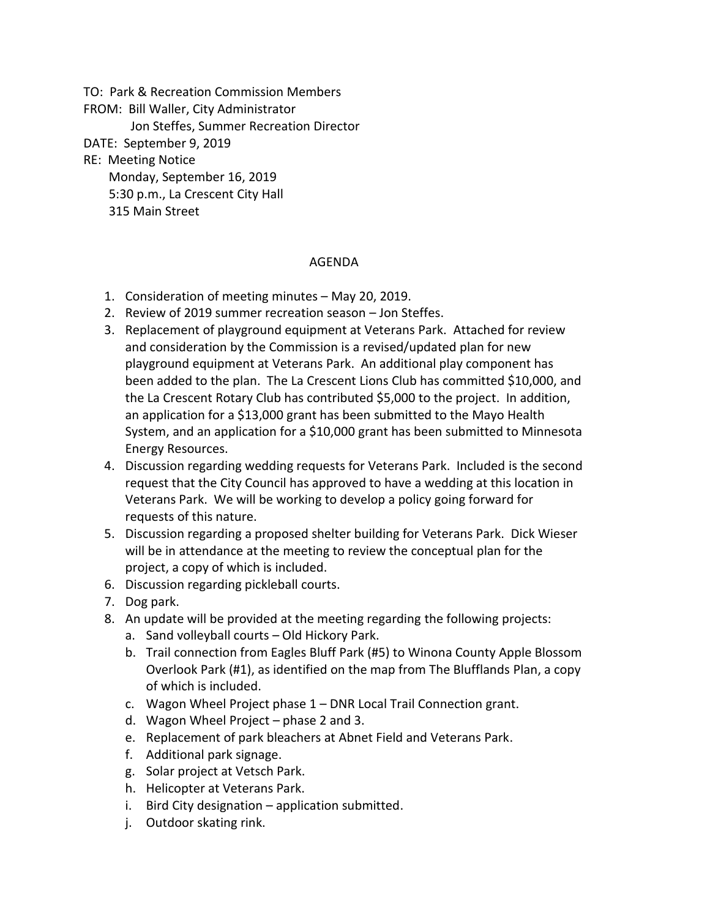TO: Park & Recreation Commission Members

FROM: Bill Waller, City Administrator

Jon Steffes, Summer Recreation Director

- DATE: September 9, 2019
- RE: Meeting Notice

Monday, September 16, 2019

5:30 p.m., La Crescent City Hall

315 Main Street

## AGENDA

- 1. Consideration of meeting minutes May 20, 2019.
- 2. Review of 2019 summer recreation season Jon Steffes.
- 3. Replacement of playground equipment at Veterans Park. Attached for review and consideration by the Commission is a revised/updated plan for new playground equipment at Veterans Park. An additional play component has been added to the plan. The La Crescent Lions Club has committed \$10,000, and the La Crescent Rotary Club has contributed \$5,000 to the project. In addition, an application for a \$13,000 grant has been submitted to the Mayo Health System, and an application for a \$10,000 grant has been submitted to Minnesota Energy Resources.
- 4. Discussion regarding wedding requests for Veterans Park. Included is the second request that the City Council has approved to have a wedding at this location in Veterans Park. We will be working to develop a policy going forward for requests of this nature.
- 5. Discussion regarding a proposed shelter building for Veterans Park. Dick Wieser will be in attendance at the meeting to review the conceptual plan for the project, a copy of which is included.
- 6. Discussion regarding pickleball courts.
- 7. Dog park.
- 8. An update will be provided at the meeting regarding the following projects:
	- a. Sand volleyball courts Old Hickory Park.
	- b. Trail connection from Eagles Bluff Park (#5) to Winona County Apple Blossom Overlook Park (#1), as identified on the map from The Blufflands Plan, a copy of which is included.
	- c. Wagon Wheel Project phase 1 DNR Local Trail Connection grant.
	- d. Wagon Wheel Project phase 2 and 3.
	- e. Replacement of park bleachers at Abnet Field and Veterans Park.
	- f. Additional park signage.
	- g. Solar project at Vetsch Park.
	- h. Helicopter at Veterans Park.
	- i. Bird City designation application submitted.
	- j. Outdoor skating rink.